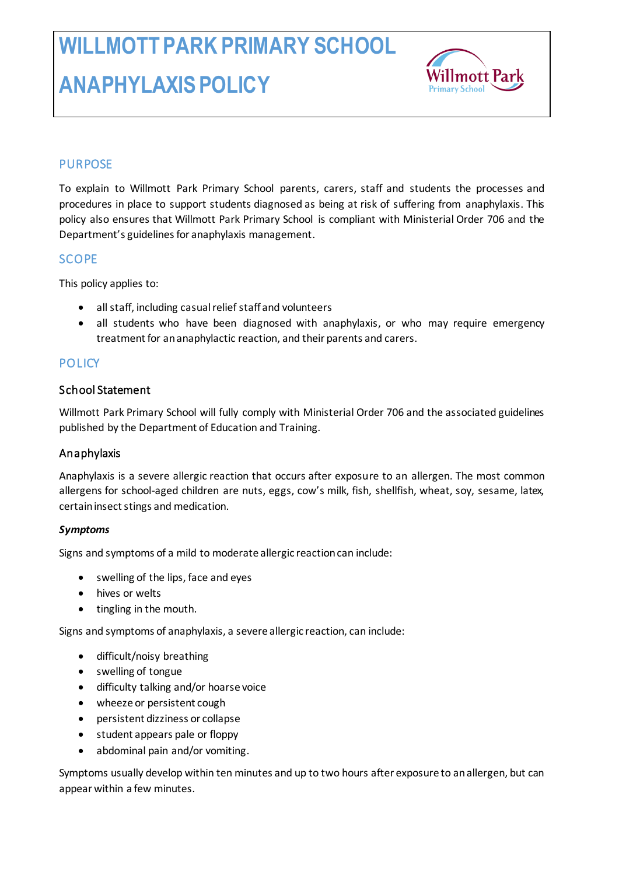

# **PURPOSE**

To explain to Willmott Park Primary School parents, carers, staff and students the processes and procedures in place to support students diagnosed as being at risk of suffering from anaphylaxis. This policy also ensures that Willmott Park Primary School is compliant with Ministerial Order 706 and the Department's guidelines for anaphylaxis management.

### **SCOPE**

This policy applies to:

- all staff, including casual relief staff and volunteers
- all students who have been diagnosed with anaphylaxis, or who may require emergency treatment for an anaphylactic reaction, and their parents and carers.

### **POLICY**

#### School Statement

Willmott Park Primary School will fully comply with Ministerial Order 706 and the associated guidelines published by the Department of Education and Training.

### Anaphylaxis

Anaphylaxis is a severe allergic reaction that occurs after exposure to an allergen. The most common allergens for school-aged children are nuts, eggs, cow's milk, fish, shellfish, wheat, soy, sesame, latex, certain insect stings and medication.

#### *Symptoms*

Signs and symptoms of a mild to moderate allergic reaction can include:

- swelling of the lips, face and eyes
- hives or welts
- tingling in the mouth.

Signs and symptoms of anaphylaxis, a severe allergic reaction, can include:

- difficult/noisy breathing
- swelling of tongue
- difficulty talking and/or hoarse voice
- wheeze or persistent cough
- persistent dizziness or collapse
- student appears pale or floppy
- abdominal pain and/or vomiting.

Symptoms usually develop within ten minutes and up to two hours after exposure to an allergen, but can appear within a few minutes.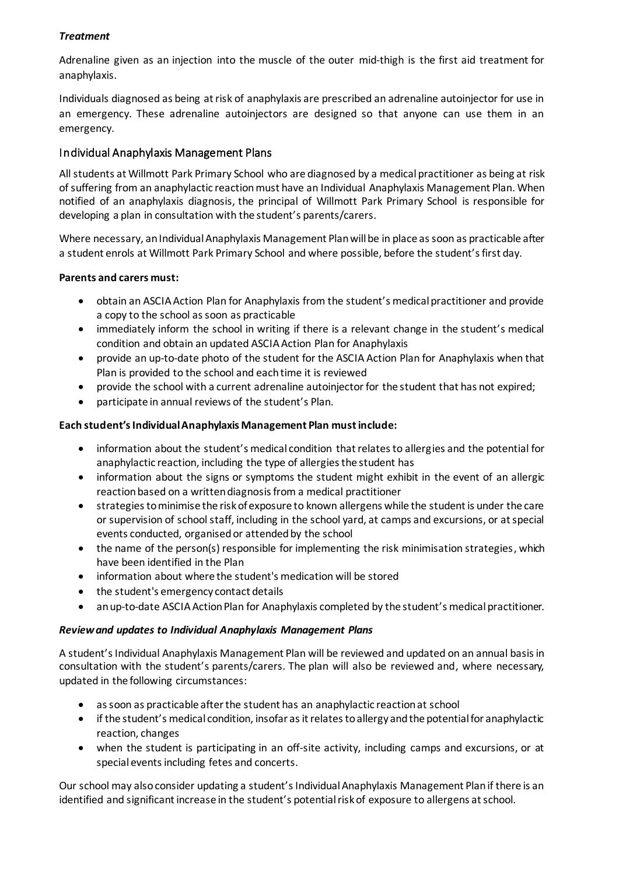#### *Treatment*

Adrenaline given as an injection into the muscle of the outer mid-thigh is the first aid treatment for anaphylaxis.

Individuals diagnosed as being at risk of anaphylaxis are prescribed an adrenaline autoinjector for use in an emergency. These adrenaline autoinjectors are designed so that anyone can use them in an emergency.

#### Individual Anaphylaxis Management Plans

All students at Willmott Park Primary School who are diagnosed by a medical practitioner as being at risk of suffering from an anaphylactic reaction must have an Individual Anaphylaxis Management Plan. When notified of an anaphylaxis diagnosis, the principal of Willmott Park Primary School is responsible for developing a plan in consultation with the student's parents/carers.

Where necessary, an Individual Anaphylaxis Management Plan will be in place as soon as practicable after a student enrols at Willmott Park Primary School and where possible, before the student's first day.

#### **Parents and carers must:**

- obtain an ASCIA Action Plan for Anaphylaxis from the student's medical practitioner and provide a copy to the school as soon as practicable
- immediately inform the school in writing if there is a relevant change in the student's medical condition and obtain an updated ASCIA Action Plan for Anaphylaxis
- provide an up-to-date photo of the student for the ASCIA Action Plan for Anaphylaxis when that Plan is provided to the school and each time it is reviewed
- provide the school with a current adrenaline autoinjector for the student that has not expired;
- participate in annual reviews of the student's Plan.

#### **Each student's Individual Anaphylaxis Management Plan must include:**

- information about the student's medical condition that relates to allergies and the potential for anaphylactic reaction, including the type of allergies the student has
- information about the signs or symptoms the student might exhibit in the event of an allergic reaction based on a written diagnosis from a medical practitioner
- strategies to minimise the risk of exposure to known allergens while the student is under the care or supervision of school staff, including in the school yard, at camps and excursions, or at special events conducted, organised or attended by the school
- the name of the person(s) responsible for implementing the risk minimisation strategies, which have been identified in the Plan
- information about where the student's medication will be stored
- the student's emergency contact details
- an up-to-date ASCIA Action Plan for Anaphylaxis completed by the student's medical practitioner.

#### *Review and updates to Individual Anaphylaxis Management Plans*

A student's Individual Anaphylaxis Management Plan will be reviewed and updated on an annual basis in consultation with the student's parents/carers. The plan will also be reviewed and, where necessary, updated in the following circumstances:

- as soon as practicable after the student has an anaphylactic reaction at school
- if the student's medical condition, insofar as it relates to allergy and the potential for anaphylactic reaction, changes
- when the student is participating in an off-site activity, including camps and excursions, or at special events including fetes and concerts.

Our school may also consider updating a student's Individual Anaphylaxis Management Plan if there is an identified and significant increase in the student's potential risk of exposure to allergens at school.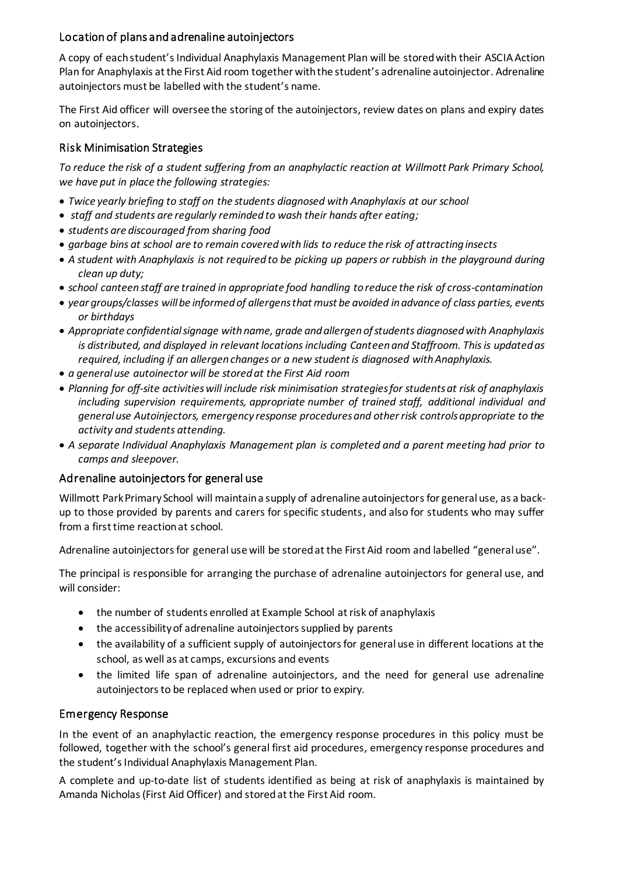### Location of plans and adrenaline autoinjectors

A copy of each student's Individual Anaphylaxis Management Plan will be stored with their ASCIA Action Plan for Anaphylaxis at the First Aid room together with the student's adrenaline autoinjector. Adrenaline autoinjectors must be labelled with the student's name.

The First Aid officer will oversee the storing of the autoinjectors, review dates on plans and expiry dates on autoinjectors.

### Risk Minimisation Strategies

*To reduce the risk of a student suffering from an anaphylactic reaction at Willmott Park Primary School, we have put in place the following strategies:*

- *Twice yearly briefing to staff on the students diagnosed with Anaphylaxis at our school*
- *staff and students are regularly reminded to wash their hands after eating;*
- *students are discouraged from sharing food*
- *garbage bins at school are to remain covered with lids to reduce the risk of attracting insects*
- *A student with Anaphylaxis is not required to be picking up papers or rubbish in the playground during clean up duty;*
- *school canteen staff are trained in appropriate food handling to reduce the risk of cross-contamination*
- *year groups/classes will be informed of allergens that must be avoided in advance of class parties, events or birthdays*
- *Appropriate confidential signage with name, grade and allergen of students diagnosed with Anaphylaxis is distributed, and displayed in relevant locations including Canteen and Staffroom. This is updated as required, including if an allergen changes or a new student is diagnosed with Anaphylaxis.*
- *a general use autoinector will be stored at the First Aid room*
- *Planning for off-site activitieswill include risk minimisation strategies for students at risk of anaphylaxis including supervision requirements, appropriate number of trained staff, additional individual and general use Autoinjectors, emergency response procedures and other risk controls appropriate to the activity and students attending.*
- *A separate Individual Anaphylaxis Management plan is completed and a parent meeting had prior to camps and sleepover.*

# Adrenaline autoinjectors for general use

Willmott Park Primary School will maintain a supply of adrenaline autoinjectors for general use, as a backup to those provided by parents and carers for specific students, and also for students who may suffer from a first time reaction at school.

Adrenaline autoinjectors for general use will be stored at the First Aid room and labelled "general use".

The principal is responsible for arranging the purchase of adrenaline autoinjectors for general use, and will consider:

- the number of students enrolled at Example School at risk of anaphylaxis
- the accessibility of adrenaline autoinjectors supplied by parents
- the availability of a sufficient supply of autoinjectors for general use in different locations at the school, as well as at camps, excursions and events
- the limited life span of adrenaline autoinjectors, and the need for general use adrenaline autoinjectors to be replaced when used or prior to expiry.

# Emergency Response

In the event of an anaphylactic reaction, the emergency response procedures in this policy must be followed, together with the school's general first aid procedures, emergency response procedures and the student's Individual Anaphylaxis Management Plan.

A complete and up-to-date list of students identified as being at risk of anaphylaxis is maintained by Amanda Nicholas (First Aid Officer) and stored at the First Aid room.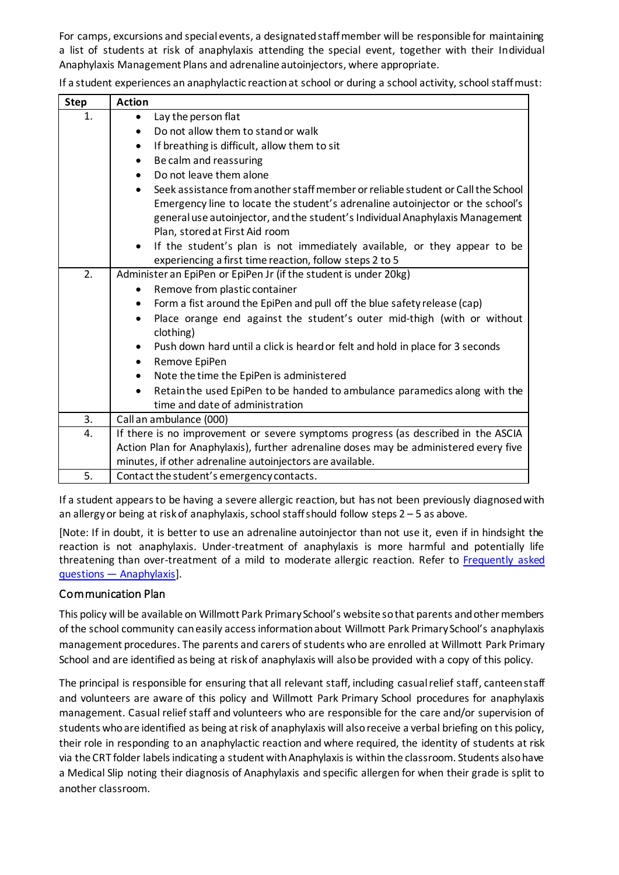For camps, excursions and special events, a designated staff member will be responsible for maintaining a list of students at risk of anaphylaxis attending the special event, together with their Individual Anaphylaxis Management Plans and adrenaline autoinjectors, where appropriate.

| <b>Step</b> | <b>Action</b>                                                                                     |
|-------------|---------------------------------------------------------------------------------------------------|
| 1.          | Lay the person flat<br>$\bullet$                                                                  |
|             | Do not allow them to stand or walk<br>$\bullet$                                                   |
|             | If breathing is difficult, allow them to sit<br>$\bullet$                                         |
|             | Be calm and reassuring<br>٠                                                                       |
|             | Do not leave them alone<br>$\bullet$                                                              |
|             | Seek assistance from another staff member or reliable student or Call the School<br>$\bullet$     |
|             | Emergency line to locate the student's adrenaline autoinjector or the school's                    |
|             | general use autoinjector, and the student's Individual Anaphylaxis Management                     |
|             | Plan, stored at First Aid room                                                                    |
|             | If the student's plan is not immediately available, or they appear to be<br>$\bullet$             |
|             | experiencing a first time reaction, follow steps 2 to 5                                           |
| 2.          | Administer an EpiPen or EpiPen Jr (if the student is under 20kg)                                  |
|             | Remove from plastic container<br>٠                                                                |
|             | Form a fist around the EpiPen and pull off the blue safety release (cap)<br>٠                     |
|             | Place orange end against the student's outer mid-thigh (with or without<br>$\bullet$<br>clothing) |
|             | Push down hard until a click is heard or felt and hold in place for 3 seconds                     |
|             | Remove EpiPen                                                                                     |
|             | Note the time the EpiPen is administered<br>$\bullet$                                             |
|             | Retain the used EpiPen to be handed to ambulance paramedics along with the<br>$\bullet$           |
|             | time and date of administration                                                                   |
| 3.          | Call an ambulance (000)                                                                           |
| 4.          | If there is no improvement or severe symptoms progress (as described in the ASCIA                 |
|             | Action Plan for Anaphylaxis), further adrenaline doses may be administered every five             |
|             | minutes, if other adrenaline autoinjectors are available.                                         |
| 5.          | Contact the student's emergency contacts.                                                         |

If a student experiences an anaphylactic reaction at school or during a school activity, school staff must:

If a student appears to be having a severe allergic reaction, but has not been previously diagnosed with an allergy or being at risk of anaphylaxis, school staff should follow steps 2 – 5 as above.

[Note: If in doubt, it is better to use an adrenaline autoinjector than not use it, even if in hindsight the reaction is not anaphylaxis. Under-treatment of anaphylaxis is more harmful and potentially life threatening than over-treatment of a mild to moderate allergic reaction. Refer to Frequently asked questions — [Anaphylaxis\]](https://nginx-php-content-policy-det-vic-gov-au-production.lagoon.vicsdp.amazee.io/sites/default/files/2020-03/anaphylaxis-faqs.docx).

### Communication Plan

This policy will be available on Willmott Park Primary School's website so that parents and other members of the school community can easily access information about Willmott Park Primary School's anaphylaxis management procedures. The parents and carers of students who are enrolled at Willmott Park Primary School and are identified as being at risk of anaphylaxis will also be provided with a copy of this policy.

The principal is responsible for ensuring that all relevant staff, including casual relief staff, canteen staff and volunteers are aware of this policy and Willmott Park Primary School procedures for anaphylaxis management. Casual relief staff and volunteers who are responsible for the care and/or supervision of students who are identified as being at risk of anaphylaxis will also receive a verbal briefing on this policy, their role in responding to an anaphylactic reaction and where required, the identity of students at risk via the CRT folder labels indicating a student with Anaphylaxis is within the classroom. Students also have a Medical Slip noting their diagnosis of Anaphylaxis and specific allergen for when their grade is split to another classroom.